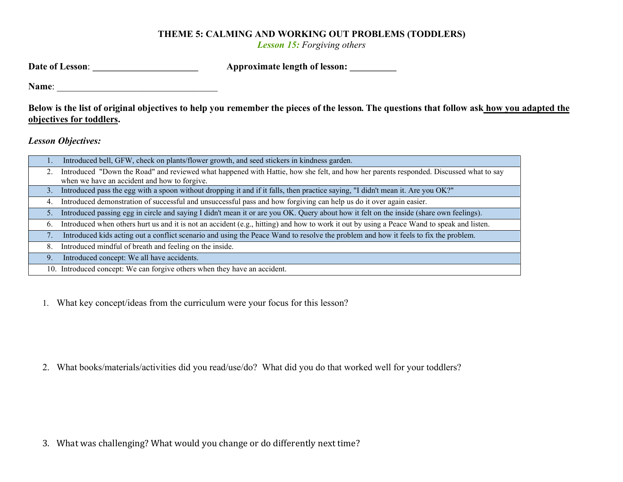## THEME 5: CALMING AND WORKING OUT PROBLEMS (TODDLERS)

Lesson 15: Forgiving others

| Date of Lesson: | <b>Approximate length of lesson:</b> |  |
|-----------------|--------------------------------------|--|
|                 |                                      |  |

Name: \_\_\_\_\_\_\_\_\_\_\_\_\_\_\_\_\_\_\_\_\_\_\_\_\_\_\_\_\_\_\_\_\_\_

Below is the list of original objectives to help you remember the pieces of the lesson. The questions that follow ask how you adapted the objectives for toddlers.

Lesson Objectives:

| 1. | Introduced bell, GFW, check on plants/flower growth, and seed stickers in kindness garden.                                                 |
|----|--------------------------------------------------------------------------------------------------------------------------------------------|
|    | Introduced "Down the Road" and reviewed what happened with Hattie, how she felt, and how her parents responded. Discussed what to say      |
|    | when we have an accident and how to forgive.                                                                                               |
| 3. | Introduced pass the egg with a spoon without dropping it and if it falls, then practice saying, "I didn't mean it. Are you OK?"            |
| 4. | Introduced demonstration of successful and unsuccessful pass and how forgiving can help us do it over again easier.                        |
| 5. | Introduced passing egg in circle and saying I didn't mean it or are you OK. Query about how it felt on the inside (share own feelings).    |
| 6. | Introduced when others hurt us and it is not an accident (e.g., hitting) and how to work it out by using a Peace Wand to speak and listen. |
|    | Introduced kids acting out a conflict scenario and using the Peace Wand to resolve the problem and how it feels to fix the problem.        |
| 8. | Introduced mindful of breath and feeling on the inside.                                                                                    |
| 9. | Introduced concept: We all have accidents.                                                                                                 |
|    | 10. Introduced concept: We can forgive others when they have an accident.                                                                  |

1. What key concept/ideas from the curriculum were your focus for this lesson?

2. What books/materials/activities did you read/use/do? What did you do that worked well for your toddlers?

3. What was challenging? What would you change or do differently next time?